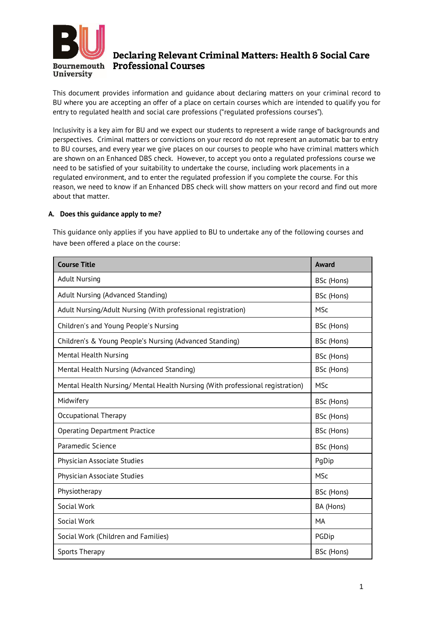

# Declaring Relevant Criminal Matters: Health & Social Care **Bournemouth** Professional Courses

This document provides information and guidance about declaring matters on your criminal record to BU where you are accepting an offer of a place on certain courses which are intended to qualify you for entry to regulated health and social care professions ("regulated professions courses").

Inclusivity is a key aim for BU and we expect our students to represent a wide range of backgrounds and perspectives. Criminal matters or convictions on your record do not represent an automatic bar to entry to BU courses, and every year we give places on our courses to people who have criminal matters which are shown on an Enhanced DBS check. However, to accept you onto a regulated professions course we need to be satisfied of your suitability to undertake the course, including work placements in a regulated environment, and to enter the regulated profession if you complete the course. For this reason, we need to know if an Enhanced DBS check will show matters on your record and find out more about that matter.

## **A. Does this guidance apply to me?**

This guidance only applies if you have applied to BU to undertake any of the following courses and have been offered a place on the course:

| <b>Course Title</b>                                                          | Award      |
|------------------------------------------------------------------------------|------------|
| <b>Adult Nursing</b>                                                         | BSc (Hons) |
| Adult Nursing (Advanced Standing)                                            | BSc (Hons) |
| Adult Nursing/Adult Nursing (With professional registration)                 | <b>MSc</b> |
| Children's and Young People's Nursing                                        | BSc (Hons) |
| Children's & Young People's Nursing (Advanced Standing)                      | BSc (Hons) |
| Mental Health Nursing                                                        | BSc (Hons) |
| Mental Health Nursing (Advanced Standing)                                    | BSc (Hons) |
| Mental Health Nursing/Mental Health Nursing (With professional registration) | <b>MSc</b> |
| Midwifery                                                                    | BSc (Hons) |
| Occupational Therapy                                                         | BSc (Hons) |
| <b>Operating Department Practice</b>                                         | BSc (Hons) |
| Paramedic Science                                                            | BSc (Hons) |
| Physician Associate Studies                                                  | PqDip      |
| Physician Associate Studies                                                  | <b>MSc</b> |
| Physiotherapy                                                                | BSc (Hons) |
| Social Work                                                                  | BA (Hons)  |
| Social Work                                                                  | MA         |
| Social Work (Children and Families)                                          | PGDip      |
| Sports Therapy                                                               | BSc (Hons) |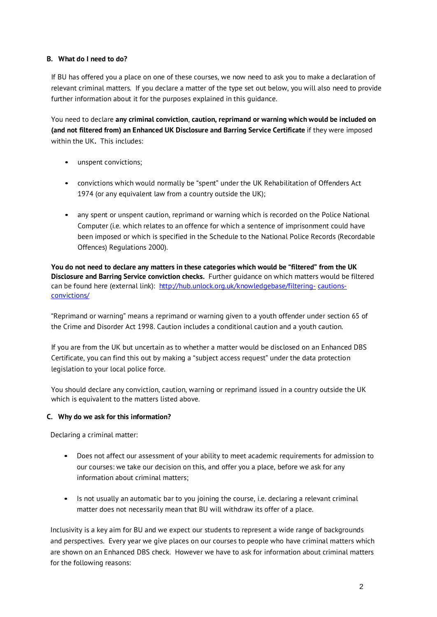## **B. What do I need to do?**

If BU has offered you a place on one of these courses, we now need to ask you to make a declaration of relevant criminal matters. If you declare a matter of the type set out below, you will also need to provide further information about it for the purposes explained in this guidance.

You need to declare **any criminal conviction**, **caution, reprimand or warning which would be included on (and not filtered from) an Enhanced UK Disclosure and Barring Service Certificate** if they were imposed within the UK**.** This includes:

- unspent convictions;
- convictions which would normally be "spent" under the UK Rehabilitation of Offenders Act 1974 (or any equivalent law from a country outside the UK);
- any spent or unspent caution, reprimand or warning which is recorded on the Police National Computer (i.e. which relates to an offence for which a sentence of imprisonment could have been imposed or which is specified in the Schedule to the National Police Records (Recordable Offences) Regulations 2000).

You do not need to declare any matters in these categories which would be "filtered" from the UK **Disclosure and Barring Service conviction checks.** Further guidance on which matters would be filtered can be found here (external link): [http://hub.unlock.org.uk/knowledgebase/filtering-](http://hub.unlock.org.uk/knowledgebase/filtering-cautions-convictions/)[cautions](http://hub.unlock.org.uk/knowledgebase/filtering-cautions-convictions/)[convictions/](http://hub.unlock.org.uk/knowledgebase/filtering-cautions-convictions/)

"Reprimand or warning" means a reprimand or warning given to a youth offender under section 65 of the Crime and Disorder Act 1998. Caution includes a conditional caution and a youth caution.

If you are from the UK but uncertain as to whether a matter would be disclosed on an Enhanced DBS Certificate, you can find this out by making a "subject access request" under the data protection legislation to your local police force.

You should declare any conviction, caution, warning or reprimand issued in a country outside the UK which is equivalent to the matters listed above.

### **C. Why do we ask for this information?**

Declaring a criminal matter:

- Does not affect our assessment of your ability to meet academic requirements for admission to our courses: we take our decision on this, and offer you a place, before we ask for any information about criminal matters;
- Is not usually an automatic bar to you joining the course, i.e. declaring a relevant criminal matter does not necessarily mean that BU will withdraw its offer of a place.

Inclusivity is a key aim for BU and we expect our students to represent a wide range of backgrounds and perspectives. Every year we give places on our courses to people who have criminal matters which are shown on an Enhanced DBS check. However we have to ask for information about criminal matters for the following reasons: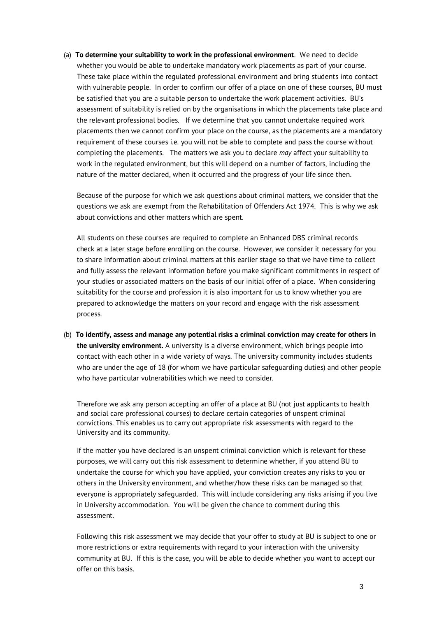(a) **To determine your suitability to work in the professional environment**. We need to decide whether you would be able to undertake mandatory work placements as part of your course. These take place within the regulated professional environment and bring students into contact with vulnerable people. In order to confirm our offer of a place on one of these courses, BU must be satisfied that you are a suitable person to undertake the work placement activities. BU's assessment of suitability is relied on by the organisations in which the placements take place and the relevant professional bodies. If we determine that you cannot undertake required work placements then we cannot confirm your place on the course, as the placements are a mandatory requirement of these courses i.e. you will not be able to complete and pass the course without completing the placements. The matters we ask you to declare *may* affect your suitability to work in the regulated environment, but this will depend on a number of factors, including the nature of the matter declared, when it occurred and the progress of your life since then.

Because of the purpose for which we ask questions about criminal matters, we consider that the questions we ask are exempt from the Rehabilitation of Offenders Act 1974. This is why we ask about convictions and other matters which are spent.

All students on these courses are required to complete an Enhanced DBS criminal records check at a later stage before enrolling on the course. However, we consider it necessary for you to share information about criminal matters at this earlier stage so that we have time to collect and fully assess the relevant information before you make significant commitments in respect of your studies or associated matters on the basis of our initial offer of a place. When considering suitability for the course and profession it is also important for us to know whether you are prepared to acknowledge the matters on your record and engage with the risk assessment process.

(b) **To identify, assess and manage any potential risks a criminal conviction may create for others in the university environment.** A university is a diverse environment, which brings people into contact with each other in a wide variety of ways. The university community includes students who are under the age of 18 (for whom we have particular safeguarding duties) and other people who have particular vulnerabilities which we need to consider.

Therefore we ask any person accepting an offer of a place at BU (not just applicants to health and social care professional courses) to declare certain categories of unspent criminal convictions. This enables us to carry out appropriate risk assessments with regard to the University and its community.

If the matter you have declared is an unspent criminal conviction which is relevant for these purposes, we will carry out this risk assessment to determine whether, if you attend BU to undertake the course for which you have applied, your conviction creates any risks to you or others in the University environment, and whether/how these risks can be managed so that everyone is appropriately safeguarded. This will include considering any risks arising if you live in University accommodation. You will be given the chance to comment during this assessment.

Following this risk assessment we may decide that your offer to study at BU is subject to one or more restrictions or extra requirements with regard to your interaction with the university community at BU. If this is the case, you will be able to decide whether you want to accept our offer on this basis.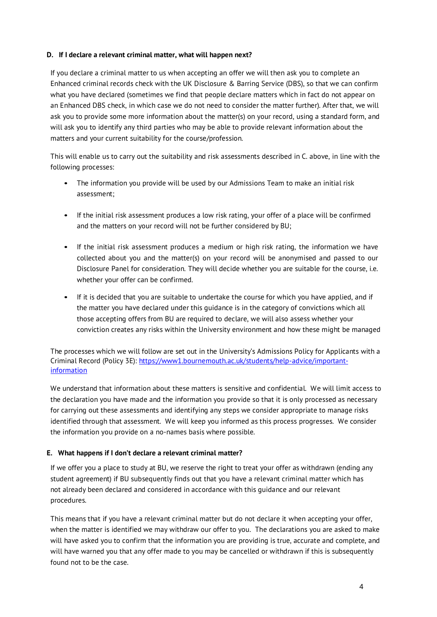### **D. If I declare a relevant criminal matter, what will happen next?**

If you declare a criminal matter to us when accepting an offer we will then ask you to complete an Enhanced criminal records check with the UK Disclosure & Barring Service (DBS), so that we can confirm what you have declared (sometimes we find that people declare matters which in fact do not appear on an Enhanced DBS check, in which case we do not need to consider the matter further). After that, we will ask you to provide some more information about the matter(s) on your record, using a standard form, and will ask you to identify any third parties who may be able to provide relevant information about the matters and your current suitability for the course/profession.

This will enable us to carry out the suitability and risk assessments described in C. above, in line with the following processes:

- The information you provide will be used by our Admissions Team to make an initial risk assessment;
- If the initial risk assessment produces a low risk rating, your offer of a place will be confirmed and the matters on your record will not be further considered by BU;
- If the initial risk assessment produces a medium or high risk rating, the information we have collected about you and the matter(s) on your record will be anonymised and passed to our Disclosure Panel for consideration. They will decide whether you are suitable for the course, i.e. whether your offer can be confirmed.
- If it is decided that you are suitable to undertake the course for which you have applied, and if the matter you have declared under this guidance is in the category of convictions which all those accepting offers from BU are required to declare, we will also assess whether your conviction creates any risks within the University environment and how these might be managed

The processes which we will follow are set out in the University's Admissions Policy for Applicants with a Criminal Record (Policy 3E): [https://www1.bournemouth.ac.uk/students/help-advice/important](https://www1.bournemouth.ac.uk/students/help-advice/important-information)[information](https://www1.bournemouth.ac.uk/students/help-advice/important-information)

We understand that information about these matters is sensitive and confidential. We will limit access to the declaration you have made and the information you provide so that it is only processed as necessary for carrying out these assessments and identifying any steps we consider appropriate to manage risks identified through that assessment. We will keep you informed as this process progresses. We consider the information you provide on a no-names basis where possible.

### **E. What happens if I don't declare a relevant criminal matter?**

If we offer you a place to study at BU, we reserve the right to treat your offer as withdrawn (ending any student agreement) if BU subsequently finds out that you have a relevant criminal matter which has not already been declared and considered in accordance with this guidance and our relevant procedures.

This means that if you have a relevant criminal matter but do not declare it when accepting your offer, when the matter is identified we may withdraw our offer to you. The declarations you are asked to make will have asked you to confirm that the information you are providing is true, accurate and complete, and will have warned you that any offer made to you may be cancelled or withdrawn if this is subsequently found not to be the case.